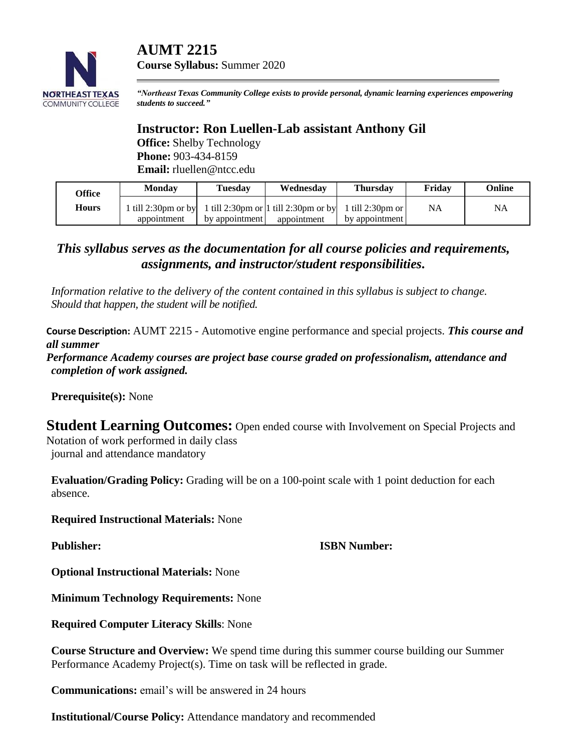# **AUMT 2215**



*"Northeast Texas Community College exists to provide personal, dynamic learning experiences empowering students to succeed."*

## **Instructor: Ron Luellen-Lab assistant Anthony Gil**

**Office:** Shelby Technology **Phone:** 903-434-8159 **Email:** rluellen@ntcc.edu

**Course Syllabus:** Summer 2020

| Office       | <b>Monday</b>            | Tuesdav        | Wednesday                                             | <b>Thursday</b> | Fridav | <b>Online</b> |
|--------------|--------------------------|----------------|-------------------------------------------------------|-----------------|--------|---------------|
| <b>Hours</b> | till 2:30pm or by $\mid$ |                | 1 till 2:30pm or 1 till 2:30pm or by 1 till 2:30pm or |                 | NA     | <b>NA</b>     |
|              | appointment              | by appointment | appointment                                           | by appointment  |        |               |

## *This syllabus serves as the documentation for all course policies and requirements, assignments, and instructor/student responsibilities.*

*Information relative to the delivery of the content contained in this syllabus is subject to change. Should that happen, the student will be notified.*

**Course Description:** AUMT 2215 - Automotive engine performance and special projects. *This course and all summer Performance Academy courses are project base course graded on professionalism, attendance and completion of work assigned.*

**Prerequisite(s):** None

**Student Learning Outcomes:** Open ended course with Involvement on Special Projects and Notation of work performed in daily class

journal and attendance mandatory

**Evaluation/Grading Policy:** Grading will be on a 100-point scale with 1 point deduction for each absence.

**Required Instructional Materials:** None

### **Publisher: ISBN Number:**

**Optional Instructional Materials:** None

**Minimum Technology Requirements:** None

**Required Computer Literacy Skills**: None

**Course Structure and Overview:** We spend time during this summer course building our Summer Performance Academy Project(s). Time on task will be reflected in grade.

**Communications:** email's will be answered in 24 hours

**Institutional/Course Policy:** Attendance mandatory and recommended